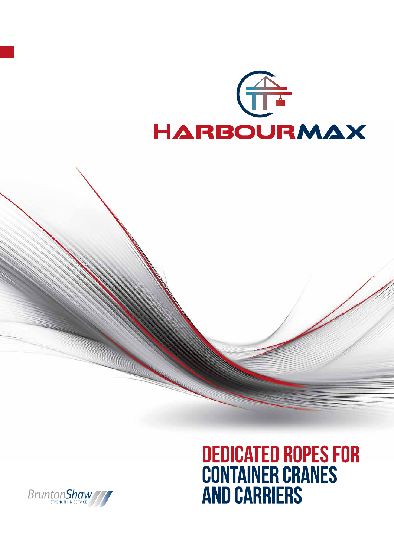



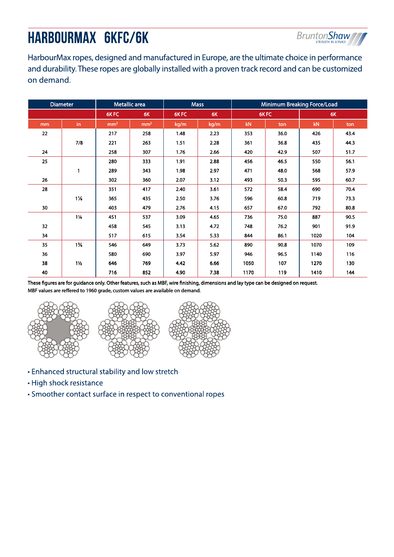# HARBOURMAX 6KFC/6K



HarbourMax ropes, designed and manufactured in Europe, are the ultimate choice in performance and durability. These ropes are globally installed with a proven track record and can be customized on demand.

| <b>Diameter</b> |                | Metallic area   |                 | <b>Mass</b> |      | <b>Minimum Breaking Force/Load</b> |      |      |      |
|-----------------|----------------|-----------------|-----------------|-------------|------|------------------------------------|------|------|------|
|                 |                | 6KFC            | 6K              | 6KFC        | 6K   | 6KFC                               |      | 6K   |      |
| mm              | in             | mm <sup>2</sup> | mm <sup>2</sup> | kg/m        | kg/m | kN.                                | ton  | kN.  | ton  |
| 22              |                | 217             | 258             | 1.48        | 2.23 | 353                                | 36.0 | 426  | 43.4 |
|                 | 7/8            | 221             | 263             | 1.51        | 2.28 | 361                                | 36.8 | 435  | 44.3 |
| 24              |                | 258             | 307             | 1.76        | 2.66 | 420                                | 42.9 | 507  | 51.7 |
| 25              |                | 280             | 333             | 1.91        | 2.88 | 456                                | 46.5 | 550  | 56.1 |
|                 | 1              | 289             | 343             | 1.98        | 2.97 | 471                                | 48.0 | 568  | 57.9 |
| 26              |                | 302             | 360             | 2.07        | 3.12 | 493                                | 50.3 | 595  | 60.7 |
| 28              |                | 351             | 417             | 2.40        | 3.61 | 572                                | 58.4 | 690  | 70.4 |
|                 | $1\frac{1}{8}$ | 365             | 435             | 2.50        | 3.76 | 596                                | 60.8 | 719  | 73.3 |
| 30              |                | 403             | 479             | 2.76        | 4.15 | 657                                | 67.0 | 792  | 80.8 |
|                 | $1\frac{1}{4}$ | 451             | 537             | 3.09        | 4.65 | 736                                | 75.0 | 887  | 90.5 |
| 32              |                | 458             | 545             | 3.13        | 4.72 | 748                                | 76.2 | 901  | 91.9 |
| 34              |                | 517             | 615             | 3.54        | 5.33 | 844                                | 86.1 | 1020 | 104  |
| 35              | $1\%$          | 546             | 649             | 3.73        | 5.62 | 890                                | 90.8 | 1070 | 109  |
| 36              |                | 580             | 690             | 3.97        | 5.97 | 946                                | 96.5 | 1140 | 116  |
| 38              | $1\frac{1}{2}$ | 646             | 769             | 4.42        | 6.66 | 1050                               | 107  | 1270 | 130  |
| 40              |                | 716             | 852             | 4.90        | 7.38 | 1170                               | 119  | 1410 | 144  |

These figures are for guidance only. Other features, such as MBF, wire finishing, dimensions and lay type can be designed on request. MBF values are reffered to 1960 grade, custom values are available on demand.







- Enhanced structural stability and low stretch
- High shock resistance
- Smoother contact surface in respect to conventional ropes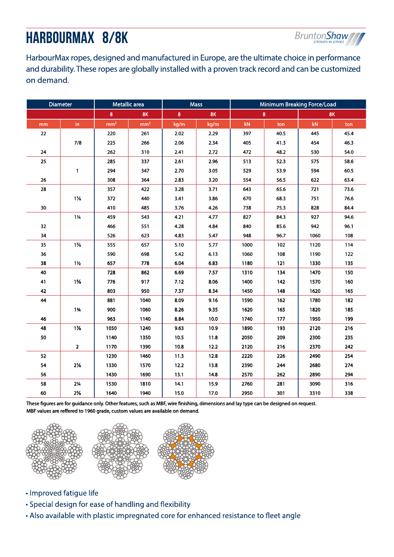# HARBOURMAX 8/8K



HarbourMax ropes, designed and manufactured in Europe, are the ultimate choice in performance and durability. These ropes are globally installed with a proven track record and can be customized on demand.

| Diameter |                | Metallic area   |                 | <b>Mass</b> |      | Minimum Breaking Force/Load |      |           |      |
|----------|----------------|-----------------|-----------------|-------------|------|-----------------------------|------|-----------|------|
|          |                | 8               | <b>8K</b>       | 8           | 8K   | 8                           |      | <b>8K</b> |      |
| mm       | in             | mm <sup>2</sup> | mm <sup>2</sup> | kg/m        | kg/m | kN                          | ton  | kN        | ton  |
| 22       |                | 220             | 261             | 2.02        | 2.29 | 397                         | 40.5 | 445       | 45.4 |
|          | 7/8            | 225             | 266             | 2.06        | 2.34 | 405                         | 41.3 | 454       | 46.3 |
| 24       |                | 262             | 310             | 2.41        | 2.72 | 472                         | 48.2 | 530       | 54.0 |
| 25       |                | 285             | 337             | 2.61        | 2.96 | 513                         | 52.3 | 575       | 58.6 |
|          | $\mathbf{1}$   | 294             | 347             | 2.70        | 3.05 | 529                         | 53.9 | 594       | 60.5 |
| 26       |                | 308             | 364             | 2.83        | 3.20 | 554                         | 56.5 | 622       | 63.4 |
| 28       |                | 357             | 422             | 3.28        | 3.71 | 643                         | 65.6 | 721       | 73.6 |
|          | $1\frac{1}{8}$ | 372             | 440             | 3.41        | 3.86 | 670                         | 68.3 | 751       | 76.6 |
| 30       |                | 410             | 485             | 3.76        | 4.26 | 738                         | 75.3 | 828       | 84.4 |
|          | $1\frac{1}{4}$ | 459             | 543             | 4.21        | 4.77 | 827                         | 84.3 | 927       | 94.6 |
| 32       |                | 466             | 551             | 4.28        | 4.84 | 840                         | 85.6 | 942       | 96.1 |
| 34       |                | 526             | 623             | 4.83        | 5.47 | 948                         | 96.7 | 1060      | 108  |
| 35       | $1\%$          | 555             | 657             | 5.10        | 5.77 | 1000                        | 102  | 1120      | 114  |
| 36       |                | 590             | 698             | 5.42        | 6.13 | 1060                        | 108  | 1190      | 122  |
| 38       | $1\frac{1}{2}$ | 657             | 778             | 6.04        | 6.83 | 1180                        | 121  | 1330      | 135  |
| 40       |                | 728             | 862             | 6.69        | 7.57 | 1310                        | 134  | 1470      | 150  |
| 41       | $1\frac{5}{8}$ | 776             | 917             | 7.12        | 8.06 | 1400                        | 142  | 1570      | 160  |
| 42       |                | 803             | 950             | 7.37        | 8.34 | 1450                        | 148  | 1620      | 165  |
| 44       |                | 881             | 1040            | 8.09        | 9.16 | 1590                        | 162  | 1780      | 182  |
|          | $1\frac{3}{4}$ | 900             | 1060            | 8.26        | 9.35 | 1620                        | 165  | 1820      | 185  |
| 46       |                | 963             | 1140            | 8.84        | 10.0 | 1740                        | 177  | 1950      | 199  |
| 48       | $1\%$          | 1050            | 1240            | 9.63        | 10.9 | 1890                        | 193  | 2120      | 216  |
| 50       |                | 1140            | 1350            | 10.5        | 11.8 | 2050                        | 209  | 2300      | 235  |
|          | $\overline{2}$ | 1170            | 1390            | 10.8        | 12.2 | 2120                        | 216  | 2370      | 242  |
| 52       |                | 1230            | 1460            | 11.3        | 12.8 | 2220                        | 226  | 2490      | 254  |
| 54       | $2\%$          | 1330            | 1570            | 12.2        | 13.8 | 2390                        | 244  | 2680      | 274  |
| 56       |                | 1430            | 1690            | 13.1        | 14.8 | 2570                        | 262  | 2890      | 294  |
| 58       | $2\frac{1}{4}$ | 1530            | 1810            | 14.1        | 15.9 | 2760                        | 281  | 3090      | 316  |
| 60       | $2\%$          | 1640            | 1940            | 15.0        | 17.0 | 2950                        | 301  | 3310      | 338  |

These figures are for guidance only. Other features, such as MBF, wire finishing, dimensions and lay type can be designed on request. MBF values are reffered to 1960 grade, custom values are available on demand.



- · Improved fatigue life
- Special design for ease of handling and flexibility
- Also available with plastic impregnated core for enhanced resistance to fleet angle